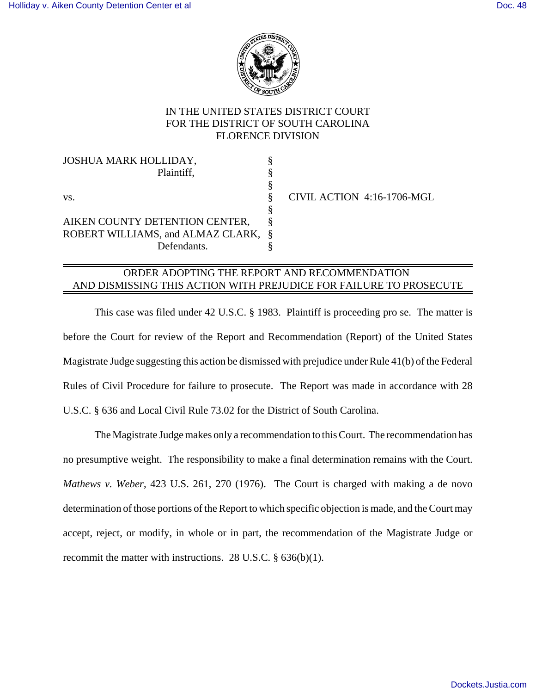

## IN THE UNITED STATES DISTRICT COURT FOR THE DISTRICT OF SOUTH CAROLINA FLORENCE DIVISION

JOSHUA MARK HOLLIDAY, § Plaintiff, § § vs.  $\&$  CIVIL ACTION 4:16-1706-MGL § AIKEN COUNTY DETENTION CENTER, § ROBERT WILLIAMS, and ALMAZ CLARK, § Defendants. §

## ORDER ADOPTING THE REPORT AND RECOMMENDATION AND DISMISSING THIS ACTION WITH PREJUDICE FOR FAILURE TO PROSECUTE

This case was filed under 42 U.S.C. § 1983. Plaintiff is proceeding pro se. The matter is before the Court for review of the Report and Recommendation (Report) of the United States Magistrate Judge suggesting this action be dismissed with prejudice under Rule 41(b) of the Federal Rules of Civil Procedure for failure to prosecute. The Report was made in accordance with 28 U.S.C. § 636 and Local Civil Rule 73.02 for the District of South Carolina.

The Magistrate Judge makes only a recommendation to this Court. The recommendation has no presumptive weight. The responsibility to make a final determination remains with the Court. *Mathews v. Weber*, 423 U.S. 261, 270 (1976). The Court is charged with making a de novo determination of those portions of the Report to which specific objection is made, and the Court may accept, reject, or modify, in whole or in part, the recommendation of the Magistrate Judge or recommit the matter with instructions. 28 U.S.C. § 636(b)(1).